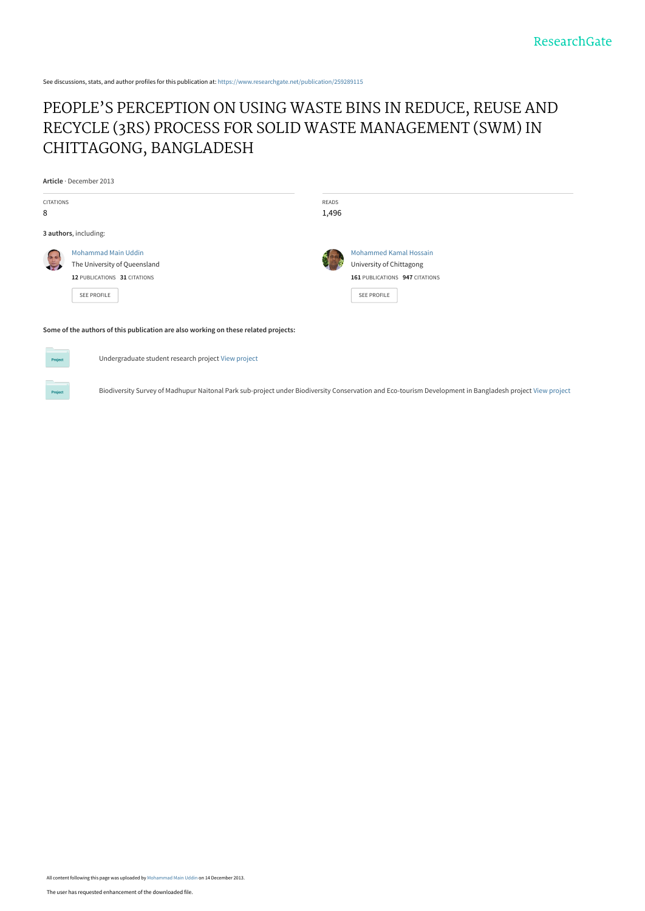See discussions, stats, and author profiles for this publication at: [https://www.researchgate.net/publication/259289115](https://www.researchgate.net/publication/259289115_PEOPLE%27S_PERCEPTION_ON_USING_WASTE_BINS_IN_REDUCE_REUSE_AND_RECYCLE_3RS_PROCESS_FOR_SOLID_WASTE_MANAGEMENT_SWM_IN_CHITTAGONG_BANGLADESH?enrichId=rgreq-b65442c1e7517504d8b2b1fd60878373-XXX&enrichSource=Y292ZXJQYWdlOzI1OTI4OTExNTtBUzo5OTYyNTUzNzExNDEyMkAxNDAwNzYzOTg3NTkw&el=1_x_2&_esc=publicationCoverPdf)

# [PEOPLE'S PERCEPTION ON USING WASTE BINS IN REDUCE, REUSE AND](https://www.researchgate.net/publication/259289115_PEOPLE%27S_PERCEPTION_ON_USING_WASTE_BINS_IN_REDUCE_REUSE_AND_RECYCLE_3RS_PROCESS_FOR_SOLID_WASTE_MANAGEMENT_SWM_IN_CHITTAGONG_BANGLADESH?enrichId=rgreq-b65442c1e7517504d8b2b1fd60878373-XXX&enrichSource=Y292ZXJQYWdlOzI1OTI4OTExNTtBUzo5OTYyNTUzNzExNDEyMkAxNDAwNzYzOTg3NTkw&el=1_x_3&_esc=publicationCoverPdf) RECYCLE (3RS) PROCESS FOR SOLID WASTE MANAGEMENT (SWM) IN CHITTAGONG, BANGLADESH

**Article** · December 2013

| <b>CITATIONS</b><br>8 |                                                                                                                  | READS<br>1,496 |                                                                                                                   |  |
|-----------------------|------------------------------------------------------------------------------------------------------------------|----------------|-------------------------------------------------------------------------------------------------------------------|--|
| 3 authors, including: |                                                                                                                  |                |                                                                                                                   |  |
| $\sim$                | <b>Mohammad Main Uddin</b><br>The University of Queensland<br>12 PUBLICATIONS 31 CITATIONS<br><b>SEE PROFILE</b> | Ŋ              | <b>Mohammed Kamal Hossain</b><br>University of Chittagong<br>161 PUBLICATIONS 947 CITATIONS<br><b>SEE PROFILE</b> |  |
|                       | Some of the authors of this publication are also working on these related projects:                              |                |                                                                                                                   |  |

| Р |  |
|---|--|
|   |  |

Undergraduate student research project [View project](https://www.researchgate.net/project/Undergraduate-student-research-project?enrichId=rgreq-b65442c1e7517504d8b2b1fd60878373-XXX&enrichSource=Y292ZXJQYWdlOzI1OTI4OTExNTtBUzo5OTYyNTUzNzExNDEyMkAxNDAwNzYzOTg3NTkw&el=1_x_9&_esc=publicationCoverPdf)

Biodiversity Survey of Madhupur Naitonal Park sub-project under Biodiversity Conservation and Eco-tourism Development in Bangladesh project [View project](https://www.researchgate.net/project/Biodiversity-Survey-of-Madhupur-Naitonal-Park-sub-project-under-Biodiversity-Conservation-and-Eco-tourism-Development-in-Bangladesh-project?enrichId=rgreq-b65442c1e7517504d8b2b1fd60878373-XXX&enrichSource=Y292ZXJQYWdlOzI1OTI4OTExNTtBUzo5OTYyNTUzNzExNDEyMkAxNDAwNzYzOTg3NTkw&el=1_x_9&_esc=publicationCoverPdf)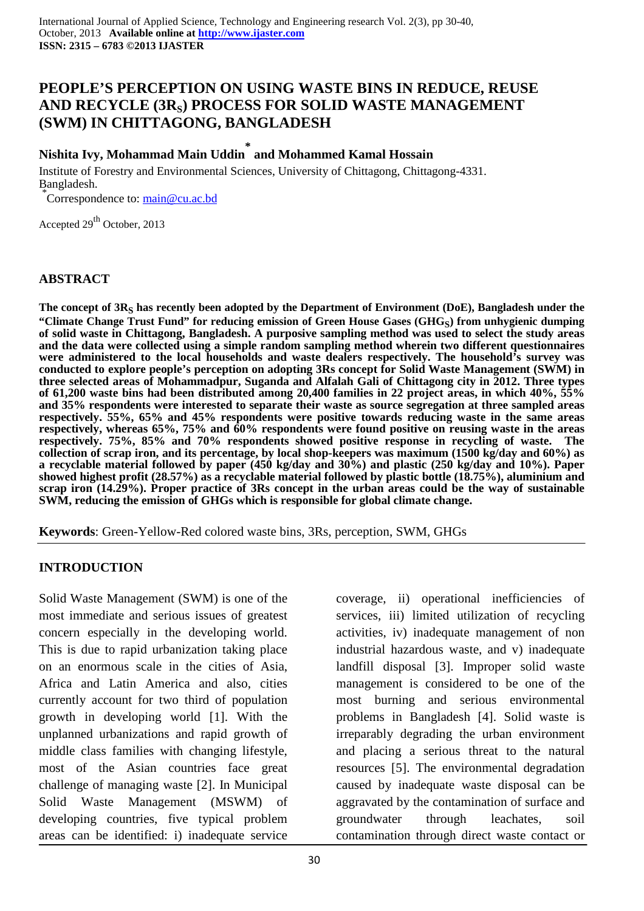## **PEOPLE'S PERCEPTION ON USING WASTE BINS IN REDUCE, REUSE AND RECYCLE (3RS) PROCESS FOR SOLID WASTE MANAGEMENT (SWM) IN CHITTAGONG, BANGLADESH**

# **Nishita Ivy, Mohammad Main Uddin \* and Mohammed Kamal Hossain**

Institute of Forestry and Environmental Sciences, University of Chittagong, Chittagong-4331. Bangladesh.

\*Correspondence to: main@cu.ac.bd

Accepted 29<sup>th</sup> October, 2013

### **ABSTRACT**

The concept of 3R<sub>S</sub> has recently been adopted by the Department of Environment (DoE), Bangladesh under the **"Climate Change Trust Fund" for reducing emission of Green House Gases (GHGS) from unhygienic dumping of solid waste in Chittagong, Bangladesh. A purposive sampling method was used to select the study areas and the data were collected using a simple random sampling method wherein two different questionnaires were administered to the local households and waste dealers respectively. The household's survey was conducted to explore people's perception on adopting 3Rs concept for Solid Waste Management (SWM) in three selected areas of Mohammadpur, Suganda and Alfalah Gali of Chittagong city in 2012. Three types of 61,200 waste bins had been distributed among 20,400 families in 22 project areas, in which 40%, 55% and 35% respondents were interested to separate their waste as source segregation at three sampled areas respectively. 55%, 65% and 45% respondents were positive towards reducing waste in the same areas respectively, whereas 65%, 75% and 60% respondents were found positive on reusing waste in the areas respectively. 75%, 85% and 70% respondents showed positive response in recycling of waste. The collection of scrap iron, and its percentage, by local shop-keepers was maximum (1500 kg/day and 60%) as a recyclable material followed by paper (450 kg/day and 30%) and plastic (250 kg/day and 10%). Paper showed highest profit (28.57%) as a recyclable material followed by plastic bottle (18.75%), aluminium and scrap iron (14.29%). Proper practice of 3Rs concept in the urban areas could be the way of sustainable SWM, reducing the emission of GHGs which is responsible for global climate change.**

**Keywords**: Green-Yellow-Red colored waste bins, 3Rs, perception, SWM, GHGs

#### **INTRODUCTION**

Solid Waste Management (SWM) is one of the most immediate and serious issues of greatest concern especially in the developing world. This is due to rapid urbanization taking place on an enormous scale in the cities of Asia, Africa and Latin America and also, cities currently account for two third of population growth in developing world [1]. With the unplanned urbanizations and rapid growth of middle class families with changing lifestyle, most of the Asian countries face great challenge of managing waste [2]. In Municipal Solid Waste Management (MSWM) of developing countries, five typical problem areas can be identified: i) inadequate service

coverage, ii) operational inefficiencies of services, iii) limited utilization of recycling activities, iv) inadequate management of non industrial hazardous waste, and v) inadequate landfill disposal [3]. Improper solid waste management is considered to be one of the most burning and serious environmental problems in Bangladesh [4]. Solid waste is irreparably degrading the urban environment and placing a serious threat to the natural resources [5]. The environmental degradation caused by inadequate waste disposal can be aggravated by the contamination of surface and groundwater through leachates, soil contamination through direct waste contact or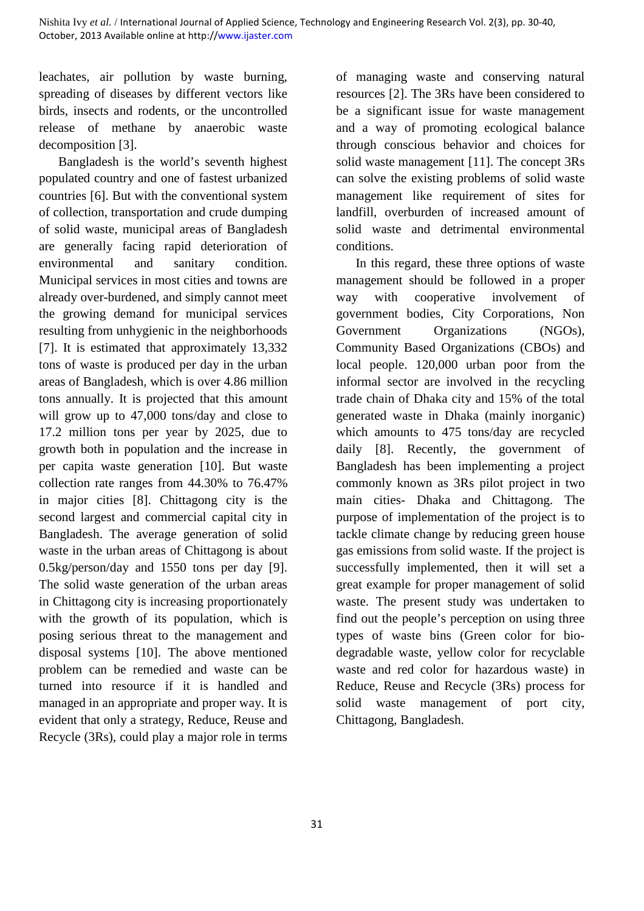leachates, air pollution by waste burning, spreading of diseases by different vectors like birds, insects and rodents, or the uncontrolled release of methane by anaerobic waste decomposition [3].

Bangladesh is the world's seventh highest populated country and one of fastest urbanized countries [6]. But with the conventional system of collection, transportation and crude dumping of solid waste, municipal areas of Bangladesh are generally facing rapid deterioration of environmental and sanitary condition. Municipal services in most cities and towns are already over-burdened, and simply cannot meet the growing demand for municipal services resulting from unhygienic in the neighborhoods [7]. It is estimated that approximately 13,332 tons of waste is produced per day in the urban areas of Bangladesh, which is over 4.86 million tons annually. It is projected that this amount will grow up to 47,000 tons/day and close to 17.2 million tons per year by 2025, due to growth both in population and the increase in per capita waste generation [10]. But waste collection rate ranges from 44.30% to 76.47% in major cities [8]. Chittagong city is the second largest and commercial capital city in Bangladesh. The average generation of solid waste in the urban areas of Chittagong is about 0.5kg/person/day and 1550 tons per day [9]. The solid waste generation of the urban areas in Chittagong city is increasing proportionately with the growth of its population, which is posing serious threat to the management and disposal systems [10]. The above mentioned problem can be remedied and waste can be turned into resource if it is handled and managed in an appropriate and proper way. It is evident that only a strategy, Reduce, Reuse and Recycle (3Rs), could play a major role in terms

of managing waste and conserving natural resources [2]. The 3Rs have been considered to be a significant issue for waste management and a way of promoting ecological balance through conscious behavior and choices for solid waste management [11]. The concept 3Rs can solve the existing problems of solid waste management like requirement of sites for landfill, overburden of increased amount of solid waste and detrimental environmental conditions.

In this regard, these three options of waste management should be followed in a proper way with cooperative involvement of government bodies, City Corporations, Non Government Organizations (NGOs), Community Based Organizations (CBOs) and local people. 120,000 urban poor from the informal sector are involved in the recycling trade chain of Dhaka city and 15% of the total generated waste in Dhaka (mainly inorganic) which amounts to 475 tons/day are recycled daily [8]. Recently, the government of Bangladesh has been implementing a project commonly known as 3Rs pilot project in two main cities- Dhaka and Chittagong. The purpose of implementation of the project is to tackle climate change by reducing green house gas emissions from solid waste. If the project is successfully implemented, then it will set a great example for proper management of solid waste. The present study was undertaken to find out the people's perception on using three types of waste bins (Green color for biodegradable waste, yellow color for recyclable waste and red color for hazardous waste) in Reduce, Reuse and Recycle (3Rs) process for solid waste management of port city, Chittagong, Bangladesh.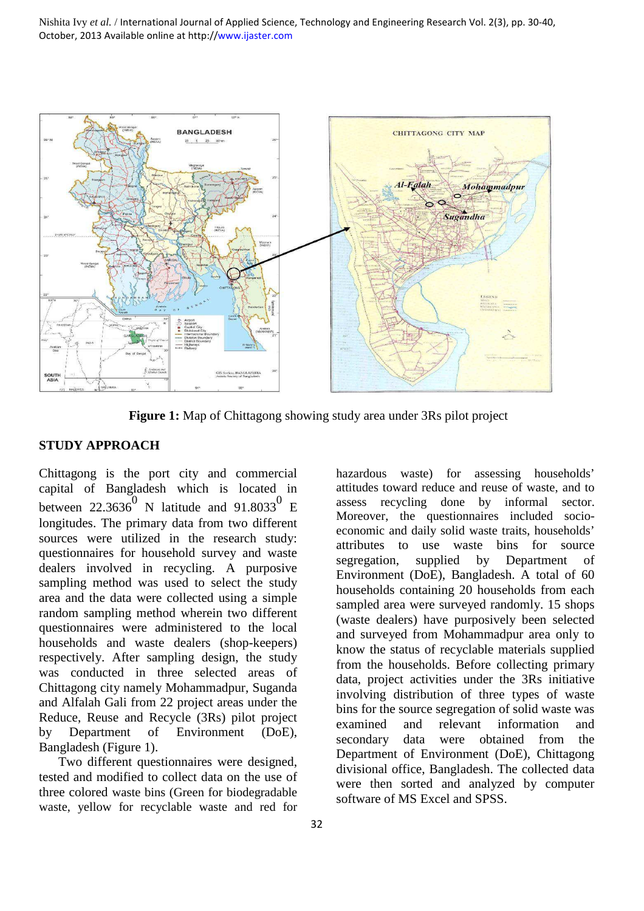

**Figure 1:** Map of Chittagong showing study area under 3Rs pilot project

#### **STUDY APPROACH**

Chittagong is the port city and commercial capital of Bangladesh which is located in between 22.3636<sup>0</sup> N latitude and 91.8033<sup>0</sup> E longitudes. The primary data from two different sources were utilized in the research study: questionnaires for household survey and waste dealers involved in recycling. A purposive sampling method was used to select the study area and the data were collected using a simple random sampling method wherein two different questionnaires were administered to the local households and waste dealers (shop-keepers) respectively. After sampling design, the study was conducted in three selected areas of Chittagong city namely Mohammadpur, Suganda and Alfalah Gali from 22 project areas under the Reduce, Reuse and Recycle (3Rs) pilot project by Department of Environment (DoE), Bangladesh (Figure 1).

Two different questionnaires were designed, tested and modified to collect data on the use of three colored waste bins (Green for biodegradable waste, yellow for recyclable waste and red for hazardous waste) for assessing households' attitudes toward reduce and reuse of waste, and to assess recycling done by informal sector. Moreover, the questionnaires included socioeconomic and daily solid waste traits, households' attributes to use waste bins for source segregation, supplied by Department of Environment (DoE), Bangladesh. A total of 60 households containing 20 households from each sampled area were surveyed randomly. 15 shops (waste dealers) have purposively been selected and surveyed from Mohammadpur area only to know the status of recyclable materials supplied from the households. Before collecting primary data, project activities under the 3Rs initiative involving distribution of three types of waste bins for the source segregation of solid waste was examined and relevant information and secondary data were obtained from the Department of Environment (DoE), Chittagong divisional office, Bangladesh. The collected data were then sorted and analyzed by computer software of MS Excel and SPSS.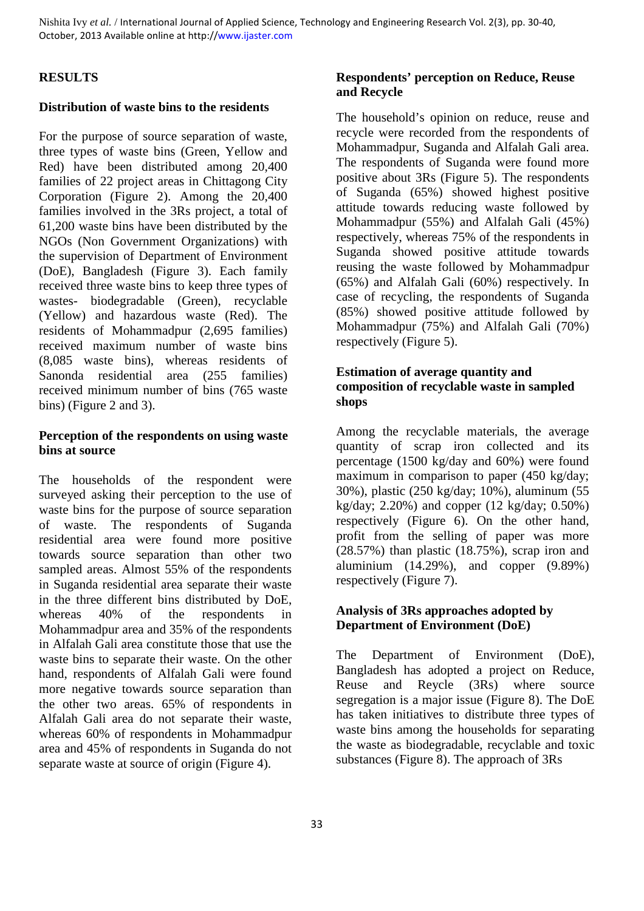### **RESULTS**

#### **Distribution of waste bins to the residents**

For the purpose of source separation of waste, three types of waste bins (Green, Yellow and Red) have been distributed among 20,400 families of 22 project areas in Chittagong City Corporation (Figure 2). Among the 20,400 families involved in the 3Rs project, a total of 61,200 waste bins have been distributed by the NGOs (Non Government Organizations) with the supervision of Department of Environment (DoE), Bangladesh (Figure 3). Each family received three waste bins to keep three types of wastes- biodegradable (Green), recyclable (Yellow) and hazardous waste (Red). The residents of Mohammadpur (2,695 families) received maximum number of waste bins (8,085 waste bins), whereas residents of Sanonda residential area (255 families) received minimum number of bins (765 waste bins) (Figure 2 and 3).

#### **Perception of the respondents on using waste bins at source**

The households of the respondent were surveyed asking their perception to the use of waste bins for the purpose of source separation of waste. The respondents of Suganda residential area were found more positive towards source separation than other two sampled areas. Almost 55% of the respondents in Suganda residential area separate their waste in the three different bins distributed by DoE, whereas 40% of the respondents in Mohammadpur area and 35% of the respondents in Alfalah Gali area constitute those that use the waste bins to separate their waste. On the other hand, respondents of Alfalah Gali were found more negative towards source separation than the other two areas. 65% of respondents in Alfalah Gali area do not separate their waste, whereas 60% of respondents in Mohammadpur area and 45% of respondents in Suganda do not separate waste at source of origin (Figure 4).

### **Respondents' perception on Reduce, Reuse and Recycle**

The household's opinion on reduce, reuse and recycle were recorded from the respondents of Mohammadpur, Suganda and Alfalah Gali area. The respondents of Suganda were found more positive about 3Rs (Figure 5). The respondents of Suganda (65%) showed highest positive attitude towards reducing waste followed by Mohammadpur (55%) and Alfalah Gali (45%) respectively, whereas 75% of the respondents in Suganda showed positive attitude towards reusing the waste followed by Mohammadpur (65%) and Alfalah Gali (60%) respectively. In case of recycling, the respondents of Suganda (85%) showed positive attitude followed by Mohammadpur (75%) and Alfalah Gali (70%) respectively (Figure 5).

#### **Estimation of average quantity and composition of recyclable waste in sampled shops**

Among the recyclable materials, the average quantity of scrap iron collected and its percentage (1500 kg/day and 60%) were found maximum in comparison to paper (450 kg/day; 30%), plastic (250 kg/day; 10%), aluminum (55 kg/day; 2.20%) and copper  $(12 \text{ kg/day}; 0.50\%)$ respectively (Figure 6). On the other hand, profit from the selling of paper was more (28.57%) than plastic (18.75%), scrap iron and aluminium (14.29%), and copper (9.89%) respectively (Figure 7).

#### **Analysis of 3Rs approaches adopted by Department of Environment (DoE)**

The Department of Environment (DoE), Bangladesh has adopted a project on Reduce, Reuse and Reycle (3Rs) where source segregation is a major issue (Figure 8). The DoE has taken initiatives to distribute three types of waste bins among the households for separating the waste as biodegradable, recyclable and toxic substances (Figure 8). The approach of 3Rs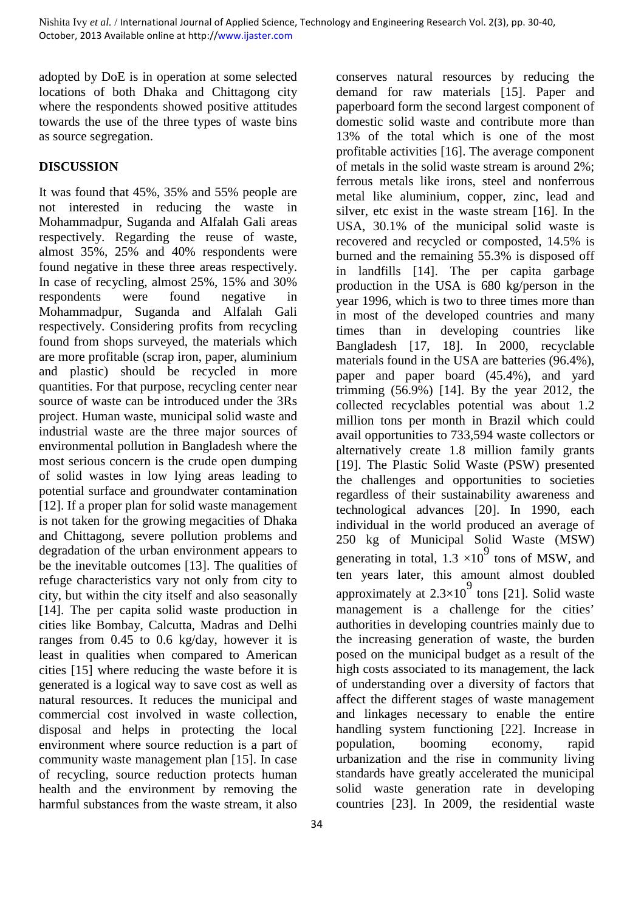adopted by DoE is in operation at some selected locations of both Dhaka and Chittagong city where the respondents showed positive attitudes towards the use of the three types of waste bins as source segregation.

#### **DISCUSSION**

It was found that 45%, 35% and 55% people are not interested in reducing the waste in Mohammadpur, Suganda and Alfalah Gali areas respectively. Regarding the reuse of waste, almost 35%, 25% and 40% respondents were found negative in these three areas respectively. In case of recycling, almost 25%, 15% and 30% respondents were found negative in Mohammadpur, Suganda and Alfalah Gali respectively. Considering profits from recycling found from shops surveyed, the materials which are more profitable (scrap iron, paper, aluminium and plastic) should be recycled in more quantities. For that purpose, recycling center near source of waste can be introduced under the 3Rs project. Human waste, municipal solid waste and industrial waste are the three major sources of environmental pollution in Bangladesh where the most serious concern is the crude open dumping of solid wastes in low lying areas leading to potential surface and groundwater contamination [12]. If a proper plan for solid waste management is not taken for the growing megacities of Dhaka and Chittagong, severe pollution problems and degradation of the urban environment appears to be the inevitable outcomes [13]. The qualities of refuge characteristics vary not only from city to city, but within the city itself and also seasonally [14]. The per capita solid waste production in cities like Bombay, Calcutta, Madras and Delhi ranges from 0.45 to 0.6 kg/day, however it is least in qualities when compared to American cities [15] where reducing the waste before it is generated is a logical way to save cost as well as natural resources. It reduces the municipal and commercial cost involved in waste collection, disposal and helps in protecting the local environment where source reduction is a part of community waste management plan [15]. In case of recycling, source reduction protects human health and the environment by removing the harmful substances from the waste stream, it also

34

conserves natural resources by reducing the demand for raw materials [15]. Paper and paperboard form the second largest component of domestic solid waste and contribute more than 13% of the total which is one of the most profitable activities [16]. The average component of metals in the solid waste stream is around 2%; ferrous metals like irons, steel and nonferrous metal like aluminium, copper, zinc, lead and silver, etc exist in the waste stream [16]. In the USA, 30.1% of the municipal solid waste is recovered and recycled or composted, 14.5% is burned and the remaining 55.3% is disposed off in landfills [14]. The per capita garbage production in the USA is 680 kg/person in the year 1996, which is two to three times more than in most of the developed countries and many times than in developing countries like Bangladesh [17, 18]. In 2000, recyclable materials found in the USA are batteries (96.4%), paper and paper board (45.4%), and yard trimming  $(56.9\%)$  [14]. By the year 2012, the collected recyclables potential was about 1.2 million tons per month in Brazil which could avail opportunities to 733,594 waste collectors or alternatively create 1.8 million family grants [19]. The Plastic Solid Waste (PSW) presented the challenges and opportunities to societies regardless of their sustainability awareness and technological advances [20]. In 1990, each individual in the world produced an average of 250 kg of Municipal Solid Waste (MSW) generating in total,  $1.3 \times 10^9$  tons of MSW, and ten years later, this amount almost doubled approximately at  $2.3 \times 10^9$  tons [21]. Solid waste management is a challenge for the cities' authorities in developing countries mainly due to the increasing generation of waste, the burden posed on the municipal budget as a result of the high costs associated to its management, the lack of understanding over a diversity of factors that affect the different stages of waste management and linkages necessary to enable the entire handling system functioning [22]. Increase in population, booming economy, rapid urbanization and the rise in community living standards have greatly accelerated the municipal solid waste generation rate in developing countries [23]. In 2009, the residential waste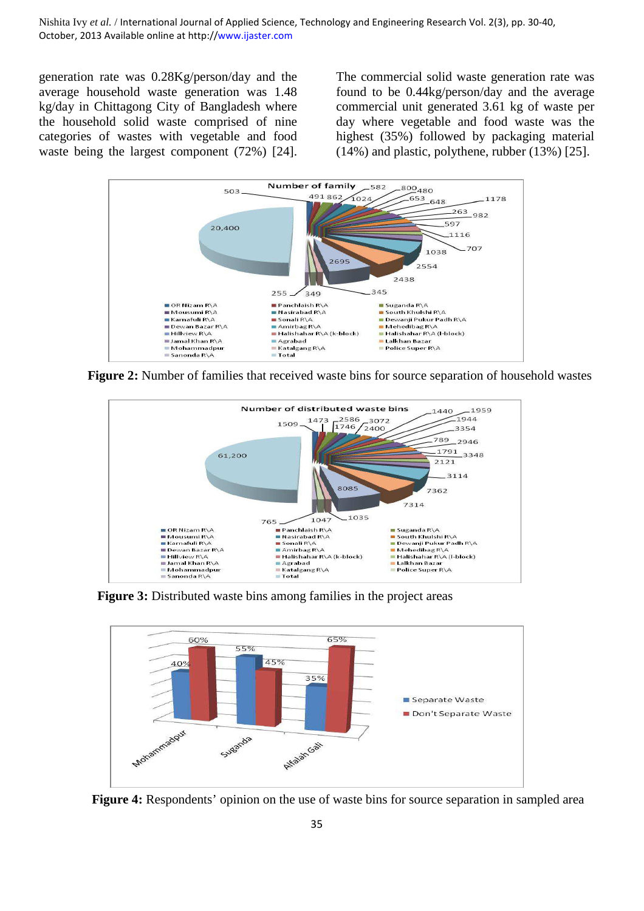generation rate was 0.28Kg/person/day and the average household waste generation was 1.48 kg/day in Chittagong City of Bangladesh where the household solid waste comprised of nine categories of wastes with vegetable and food waste being the largest component (72%) [24]. The commercial solid waste generation rate was found to be 0.44kg/person/day and the average commercial unit generated 3.61 kg of waste per day where vegetable and food waste was the highest (35%) followed by packaging material (14%) and plastic, polythene, rubber (13%) [25].



**Figure 2:** Number of families that received waste bins for source separation of household wastes



**Figure 3:** Distributed waste bins among families in the project areas



**Figure 4:** Respondents' opinion on the use of waste bins for source separation in sampled area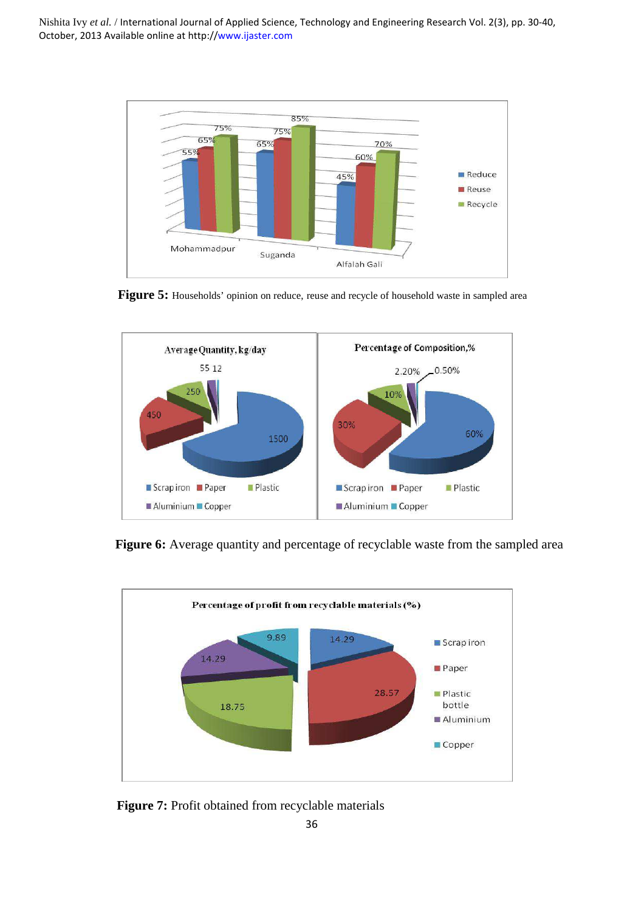

**Figure 5:** Households' opinion on reduce, reuse and recycle of household waste in sampled area



**Figure 6:** Average quantity and percentage of recyclable waste from the sampled area



**Figure 7:** Profit obtained from recyclable materials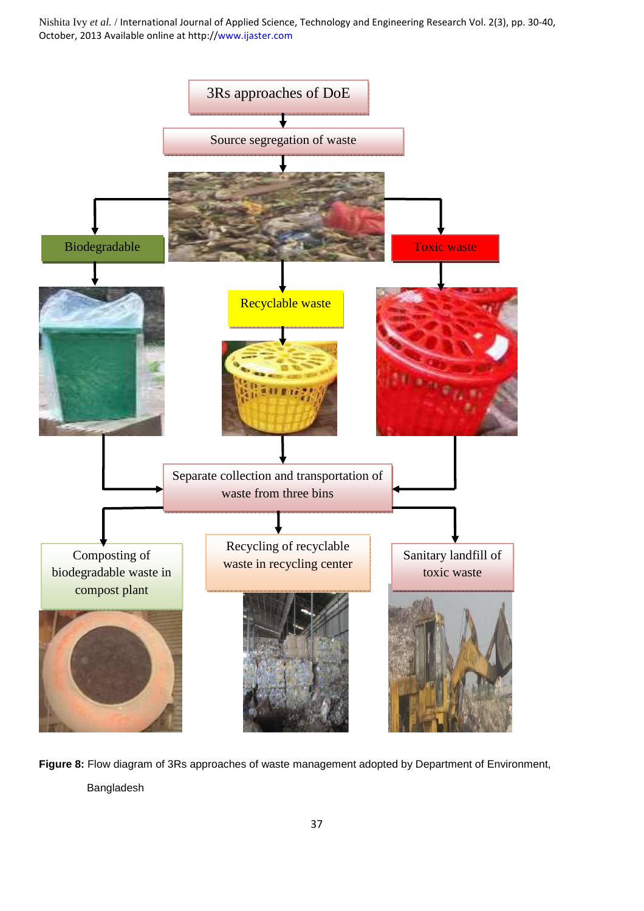

**Figure 8:** Flow diagram of 3Rs approaches of waste management adopted by Department of Environment, Bangladesh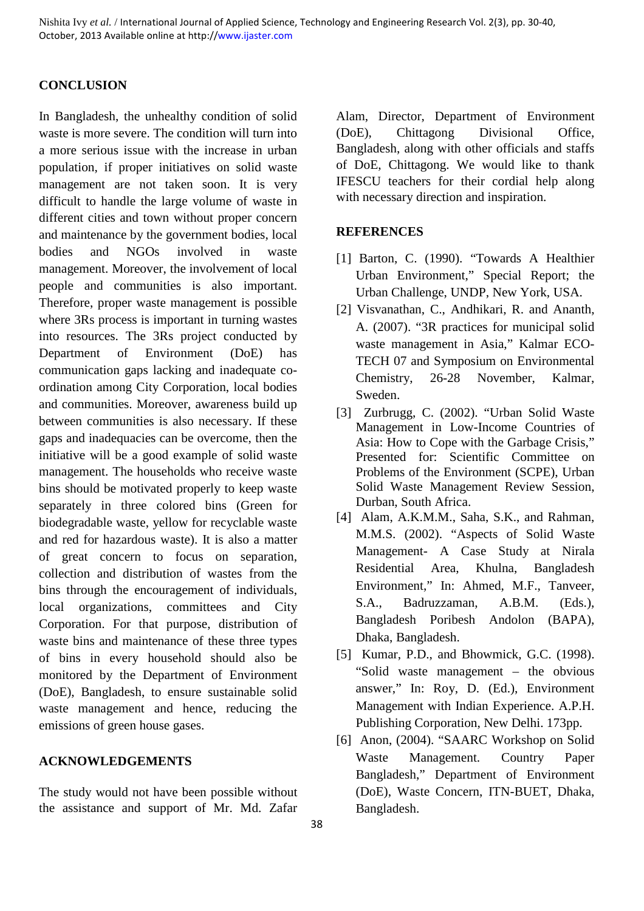#### **CONCLUSION**

In Bangladesh, the unhealthy condition of solid waste is more severe. The condition will turn into a more serious issue with the increase in urban population, if proper initiatives on solid waste management are not taken soon. It is very difficult to handle the large volume of waste in different cities and town without proper concern and maintenance by the government bodies, local bodies and NGOs involved in waste management. Moreover, the involvement of local people and communities is also important. Therefore, proper waste management is possible where 3Rs process is important in turning wastes into resources. The 3Rs project conducted by Department of Environment (DoE) has communication gaps lacking and inadequate coordination among City Corporation, local bodies and communities. Moreover, awareness build up between communities is also necessary. If these gaps and inadequacies can be overcome, then the initiative will be a good example of solid waste management. The households who receive waste bins should be motivated properly to keep waste separately in three colored bins (Green for biodegradable waste, yellow for recyclable waste and red for hazardous waste). It is also a matter of great concern to focus on separation, collection and distribution of wastes from the bins through the encouragement of individuals, local organizations, committees and City Corporation. For that purpose, distribution of waste bins and maintenance of these three types of bins in every household should also be monitored by the Department of Environment (DoE), Bangladesh, to ensure sustainable solid waste management and hence, reducing the emissions of green house gases.

#### **ACKNOWLEDGEMENTS**

The study would not have been possible without the assistance and support of Mr. Md. Zafar

Alam, Director, Department of Environment (DoE), Chittagong Divisional Office, Bangladesh, along with other officials and staffs of DoE, Chittagong. We would like to thank IFESCU teachers for their cordial help along with necessary direction and inspiration.

#### **REFERENCES**

- [1] Barton, C. (1990). "Towards A Healthier Urban Environment," Special Report; the Urban Challenge, UNDP, New York, USA.
- [2] Visvanathan, C., Andhikari, R. and Ananth, A. (2007). "3R practices for municipal solid waste management in Asia," Kalmar ECO-TECH 07 and Symposium on Environmental Chemistry, 26-28 November, Kalmar, Sweden.
- [3] Zurbrugg, C. (2002). "Urban Solid Waste Management in Low-Income Countries of Asia: How to Cope with the Garbage Crisis," Presented for: Scientific Committee on Problems of the Environment (SCPE), Urban Solid Waste Management Review Session, Durban, South Africa.
- [4] Alam, A.K.M.M., Saha, S.K., and Rahman, M.M.S. (2002). "Aspects of Solid Waste Management- A Case Study at Nirala Residential Area, Khulna, Bangladesh Environment," In: Ahmed, M.F., Tanveer, S.A., Badruzzaman, A.B.M. (Eds.), Bangladesh Poribesh Andolon (BAPA), Dhaka, Bangladesh.
- [5] Kumar, P.D., and Bhowmick, G.C. (1998). "Solid waste management – the obvious answer," In: Roy, D. (Ed.), Environment Management with Indian Experience. A.P.H. Publishing Corporation, New Delhi. 173pp.
- [6] Anon, (2004). "SAARC Workshop on Solid Waste Management. Country Paper Bangladesh," Department of Environment (DoE), Waste Concern, ITN-BUET, Dhaka, Bangladesh.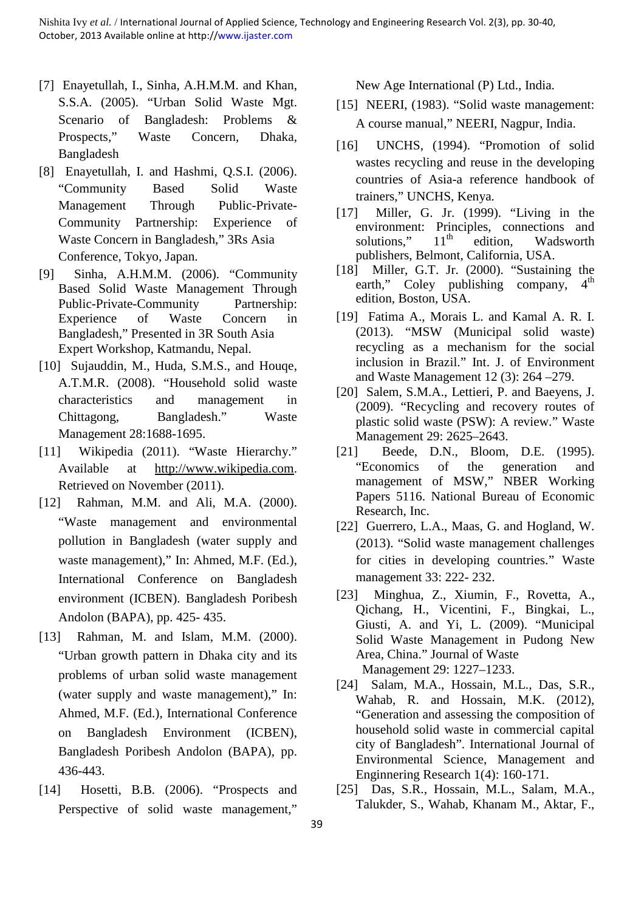- [7] Enayetullah, I., Sinha, A.H.M.M. and Khan, S.S.A. (2005). "Urban Solid Waste Mgt. Scenario of Bangladesh: Problems & Prospects," Waste Concern, Dhaka, Bangladesh
- [8] Enayetullah, I. and Hashmi, Q.S.I. (2006). "Community Based Solid Waste Management Through Public-Private-Community Partnership: Experience of Waste Concern in Bangladesh," 3Rs Asia Conference, Tokyo, Japan.
- [9] Sinha, A.H.M.M. (2006). "Community Based Solid Waste Management Through Public-Private-Community Partnership: Experience of Waste Concern in Bangladesh," Presented in 3R South Asia Expert Workshop, Katmandu, Nepal.
- [10] Sujauddin, M., Huda, S.M.S., and Houqe, A.T.M.R. (2008). "Household solid waste characteristics and management in Chittagong, Bangladesh." Waste Management 28:1688-1695.
- [11] Wikipedia (2011). "Waste Hierarchy." Available at http://www.wikipedia.com. Retrieved on November (2011).
- [12] Rahman, M.M. and Ali, M.A. (2000). "Waste management and environmental pollution in Bangladesh (water supply and waste management)," In: Ahmed, M.F. (Ed.), International Conference on Bangladesh environment (ICBEN). Bangladesh Poribesh Andolon (BAPA), pp. 425- 435.
- [13] Rahman, M. and Islam, M.M. (2000). "Urban growth pattern in Dhaka city and its problems of urban solid waste management (water supply and waste management)," In: Ahmed, M.F. (Ed.), International Conference on Bangladesh Environment (ICBEN), Bangladesh Poribesh Andolon (BAPA), pp. 436-443.
- [14] Hosetti, B.B. (2006). "Prospects and Perspective of solid waste management,"

New Age International (P) Ltd., India.

- [15] NEERI, (1983). "Solid waste management: A course manual," NEERI, Nagpur, India.
- [16] UNCHS, (1994). "Promotion of solid wastes recycling and reuse in the developing countries of Asia-a reference handbook of trainers," UNCHS, Kenya.
- [17] Miller, G. Jr. (1999). "Living in the environment: Principles, connections and solutions,"  $11<sup>th</sup>$  edition, Wadsworth publishers, Belmont, California, USA.
- [18] Miller, G.T. Jr. (2000). "Sustaining the earth," Coley publishing company.  $4<sup>th</sup>$ earth," Coley publishing company, edition, Boston, USA.
- [19] Fatima A., Morais L. and Kamal A. R. I. (2013). "MSW (Municipal solid waste) recycling as a mechanism for the social inclusion in Brazil." Int. J. of Environment and Waste Management 12 (3): 264 –279.
- [20] Salem, S.M.A., Lettieri, P. and Baeyens, J. (2009). "Recycling and recovery routes of plastic solid waste (PSW): A review." Waste Management 29: 2625–2643.
- [21] Beede, D.N., Bloom, D.E. (1995). "Economics of the generation and management of MSW," NBER Working Papers 5116. National Bureau of Economic Research, Inc.
- [22] Guerrero, L.A., Maas, G. and Hogland, W. (2013). "Solid waste management challenges for cities in developing countries." Waste management 33: 222- 232.
- [23] Minghua, Z., Xiumin, F., Rovetta, A., Qichang, H., Vicentini, F., Bingkai, L., Giusti, A. and Yi, L. (2009). "Municipal Solid Waste Management in Pudong New Area, China." Journal of Waste Management 29: 1227–1233.
- [24] Salam, M.A., Hossain, M.L., Das, S.R., Wahab, R. and Hossain, M.K. (2012), "Generation and assessing the composition of household solid waste in commercial capital city of Bangladesh". International Journal of Environmental Science, Management and Enginnering Research 1(4): 160-171.
- [25] Das, S.R., Hossain, M.L., Salam, M.A., Talukder, S., Wahab, Khanam M., Aktar, F.,